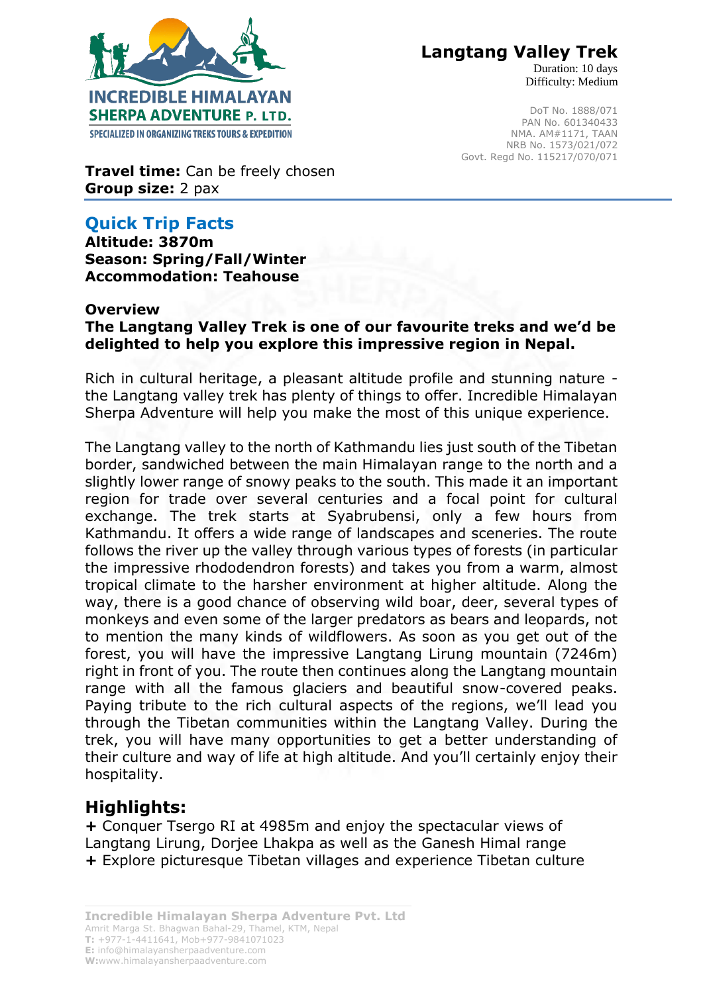

 **Langtang Valley Trek**

Duration: 10 days Difficulty: Medium

DoT No. 1888/071 PAN No. 601340433 NMA. AM#1171, TAAN NRB No. 1573/021/072 Govt. Regd No. 115217/070/071

**Travel time:** Can be freely chosen **Group size:** 2 pax

## **Quick Trip Facts**

**Altitude: 3870m Season: Spring/Fall/Winter Accommodation: Teahouse** 

#### **Overview**

**The Langtang Valley Trek is one of our favourite treks and we'd be delighted to help you explore this impressive region in Nepal.**

Rich in cultural heritage, a pleasant altitude profile and stunning nature the Langtang valley trek has plenty of things to offer. Incredible Himalayan Sherpa Adventure will help you make the most of this unique experience.

The Langtang valley to the north of Kathmandu lies just south of the Tibetan border, sandwiched between the main Himalayan range to the north and a slightly lower range of snowy peaks to the south. This made it an important region for trade over several centuries and a focal point for cultural exchange. The trek starts at Syabrubensi, only a few hours from Kathmandu. It offers a wide range of landscapes and sceneries. The route follows the river up the valley through various types of forests (in particular the impressive rhododendron forests) and takes you from a warm, almost tropical climate to the harsher environment at higher altitude. Along the way, there is a good chance of observing wild boar, deer, several types of monkeys and even some of the larger predators as bears and leopards, not to mention the many kinds of wildflowers. As soon as you get out of the forest, you will have the impressive Langtang Lirung mountain (7246m) right in front of you. The route then continues along the Langtang mountain range with all the famous glaciers and beautiful snow-covered peaks. Paying tribute to the rich cultural aspects of the regions, we'll lead you through the Tibetan communities within the Langtang Valley. During the trek, you will have many opportunities to get a better understanding of their culture and way of life at high altitude. And you'll certainly enjoy their hospitality.

### **Highlights:**

**+** Conquer Tsergo RI at 4985m and enjoy the spectacular views of Langtang Lirung, Dorjee Lhakpa as well as the Ganesh Himal range **+** Explore picturesque Tibetan villages and experience Tibetan culture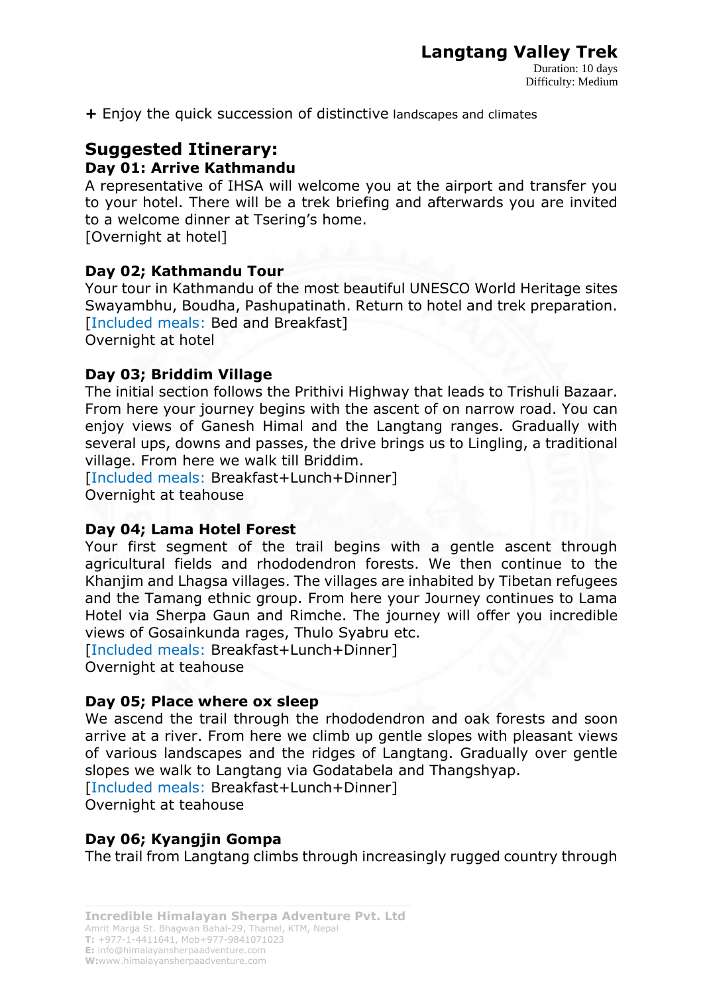**+** Enjoy the quick succession of distinctive landscapes and climates

# **Suggested Itinerary:**

### **Day 01: Arrive Kathmandu**

A representative of IHSA will welcome you at the airport and transfer you to your hotel. There will be a trek briefing and afterwards you are invited to a welcome dinner at Tsering's home.

[Overnight at hotel]

### **Day 02; Kathmandu Tour**

Your tour in Kathmandu of the most beautiful UNESCO World Heritage sites Swayambhu, Boudha, Pashupatinath. Return to hotel and trek preparation. [Included meals: Bed and Breakfast]

Overnight at hotel

#### **Day 03; Briddim Village**

The initial section follows the Prithivi Highway that leads to Trishuli Bazaar. From here your journey begins with the ascent of on narrow road. You can enjoy views of Ganesh Himal and the Langtang ranges. Gradually with several ups, downs and passes, the drive brings us to Lingling, a traditional village. From here we walk till Briddim.

[Included meals: Breakfast+Lunch+Dinner] Overnight at teahouse

#### **Day 04; Lama Hotel Forest**

Your first segment of the trail begins with a gentle ascent through agricultural fields and rhododendron forests. We then continue to the Khanjim and Lhagsa villages. The villages are inhabited by Tibetan refugees and the Tamang ethnic group. From here your Journey continues to Lama Hotel via Sherpa Gaun and Rimche. The journey will offer you incredible views of Gosainkunda rages, Thulo Syabru etc.

[Included meals: Breakfast+Lunch+Dinner] Overnight at teahouse

#### **Day 05; Place where ox sleep**

We ascend the trail through the rhododendron and oak forests and soon arrive at a river. From here we climb up gentle slopes with pleasant views of various landscapes and the ridges of Langtang. Gradually over gentle slopes we walk to Langtang via Godatabela and Thangshyap. [Included meals: Breakfast+Lunch+Dinner]

Overnight at teahouse

#### **Day 06; Kyangjin Gompa**

The trail from Langtang climbs through increasingly rugged country through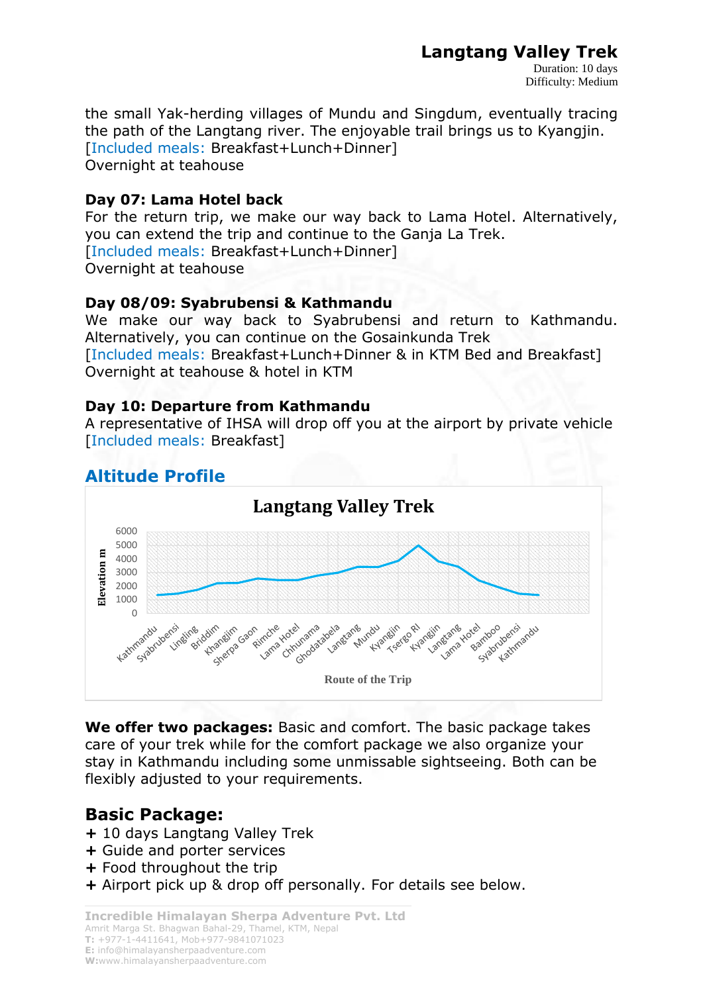# **Langtang Valley Trek**

the small Yak-herding villages of Mundu and Singdum, eventually tracing the path of the Langtang river. The enjoyable trail brings us to Kyangjin. [Included meals: Breakfast+Lunch+Dinner] Overnight at teahouse

### **Day 07: Lama Hotel back**

For the return trip, we make our way back to Lama Hotel. Alternatively, you can extend the trip and continue to the Ganja La Trek. [Included meals: Breakfast+Lunch+Dinner] Overnight at teahouse

### **Day 08/09: Syabrubensi & Kathmandu**

We make our way back to Syabrubensi and return to Kathmandu. Alternatively, you can continue on the Gosainkunda Trek [Included meals: Breakfast+Lunch+Dinner & in KTM Bed and Breakfast] Overnight at teahouse & hotel in KTM

## **Day 10: Departure from Kathmandu**

A representative of IHSA will drop off you at the airport by private vehicle [Included meals: Breakfast]

# **Altitude Profile**



**We offer two packages:** Basic and comfort. The basic package takes care of your trek while for the comfort package we also organize your stay in Kathmandu including some unmissable sightseeing. Both can be flexibly adjusted to your requirements.

# **Basic Package:**

- **+** 10 days Langtang Valley Trek
- **+** Guide and porter services
- **+** Food throughout the trip
- **+** Airport pick up & drop off personally. For details see below.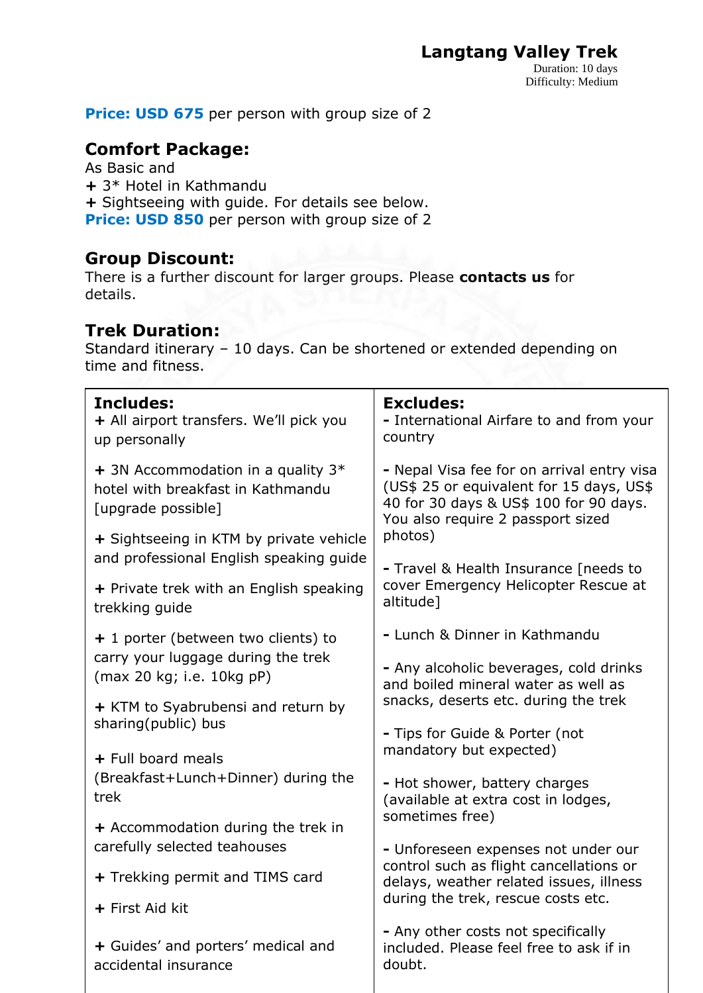**Price: USD 675** per person with group size of 2

## **Comfort Package:**

As Basic and **+** 3\* Hotel in Kathmandu **+** Sightseeing with guide. For details see below. **Price: USD 850** per person with group size of 2

## **Group Discount:**

There is a further discount for larger groups. Please **contacts us** for details.

## **Trek Duration:**

Standard itinerary – 10 days. Can be shortened or extended depending on time and fitness.

| <b>Includes:</b><br>+ All airport transfers. We'll pick you<br>up personally                    | <b>Excludes:</b><br>- International Airfare to and from your<br>country                                                                                               |
|-------------------------------------------------------------------------------------------------|-----------------------------------------------------------------------------------------------------------------------------------------------------------------------|
| + 3N Accommodation in a quality $3*$<br>hotel with breakfast in Kathmandu<br>[upgrade possible] | - Nepal Visa fee for on arrival entry visa<br>(US\$ 25 or equivalent for 15 days, US\$<br>40 for 30 days & US\$ 100 for 90 days.<br>You also require 2 passport sized |
| + Sightseeing in KTM by private vehicle<br>and professional English speaking guide              | photos)                                                                                                                                                               |
| + Private trek with an English speaking<br>trekking guide                                       | - Travel & Health Insurance [needs to<br>cover Emergency Helicopter Rescue at<br>altitude]                                                                            |
| + 1 porter (between two clients) to                                                             | - Lunch & Dinner in Kathmandu                                                                                                                                         |
| carry your luggage during the trek<br>(max 20 kg; i.e. 10kg pP)                                 | - Any alcoholic beverages, cold drinks<br>and boiled mineral water as well as                                                                                         |
| + KTM to Syabrubensi and return by                                                              | snacks, deserts etc. during the trek                                                                                                                                  |
| sharing(public) bus                                                                             | - Tips for Guide & Porter (not<br>mandatory but expected)                                                                                                             |
| + Full board meals<br>(Breakfast+Lunch+Dinner) during the                                       |                                                                                                                                                                       |
| trek                                                                                            | - Hot shower, battery charges<br>(available at extra cost in lodges,                                                                                                  |
| + Accommodation during the trek in                                                              | sometimes free)                                                                                                                                                       |
| carefully selected teahouses                                                                    | - Unforeseen expenses not under our                                                                                                                                   |
| + Trekking permit and TIMS card                                                                 | control such as flight cancellations or<br>delays, weather related issues, illness                                                                                    |
| + First Aid kit                                                                                 | during the trek, rescue costs etc.                                                                                                                                    |
| + Guides' and porters' medical and<br>accidental insurance                                      | - Any other costs not specifically<br>included. Please feel free to ask if in<br>doubt.                                                                               |

 $\overline{1}$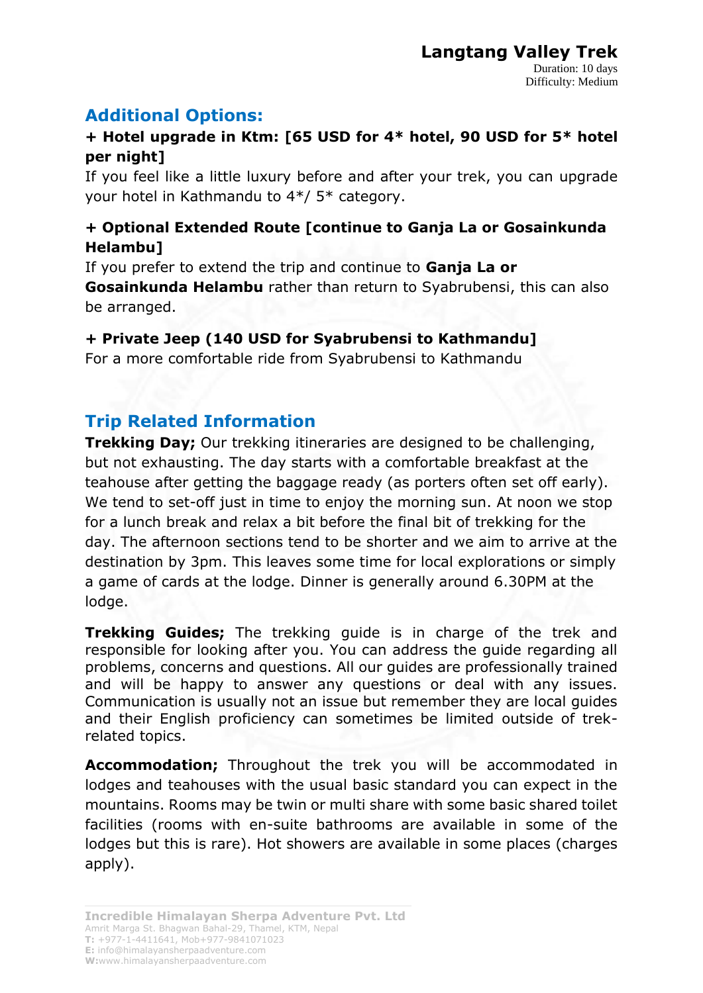# **Additional Options:**

## **+ Hotel upgrade in Ktm: [65 USD for 4\* hotel, 90 USD for 5\* hotel per night]**

If you feel like a little luxury before and after your trek, you can upgrade your hotel in Kathmandu to 4\*/ 5\* category.

## **+ Optional Extended Route [continue to Ganja La or Gosainkunda Helambu]**

If you prefer to extend the trip and continue to **Ganja La or Gosainkunda Helambu** rather than return to Syabrubensi, this can also be arranged.

## **+ Private Jeep (140 USD for Syabrubensi to Kathmandu]**

For a more comfortable ride from Syabrubensi to Kathmandu

# **Trip Related Information**

**Trekking Day;** Our trekking itineraries are designed to be challenging, but not exhausting. The day starts with a comfortable breakfast at the teahouse after getting the baggage ready (as porters often set off early). We tend to set-off just in time to enjoy the morning sun. At noon we stop for a lunch break and relax a bit before the final bit of trekking for the day. The afternoon sections tend to be shorter and we aim to arrive at the destination by 3pm. This leaves some time for local explorations or simply a game of cards at the lodge. Dinner is generally around 6.30PM at the lodge.

**Trekking Guides;** The trekking guide is in charge of the trek and responsible for looking after you. You can address the guide regarding all problems, concerns and questions. All our guides are professionally trained and will be happy to answer any questions or deal with any issues. Communication is usually not an issue but remember they are local guides and their English proficiency can sometimes be limited outside of trekrelated topics.

**Accommodation;** Throughout the trek you will be accommodated in lodges and teahouses with the usual basic standard you can expect in the mountains. Rooms may be twin or multi share with some basic shared toilet facilities (rooms with en-suite bathrooms are available in some of the lodges but this is rare). Hot showers are available in some places (charges apply).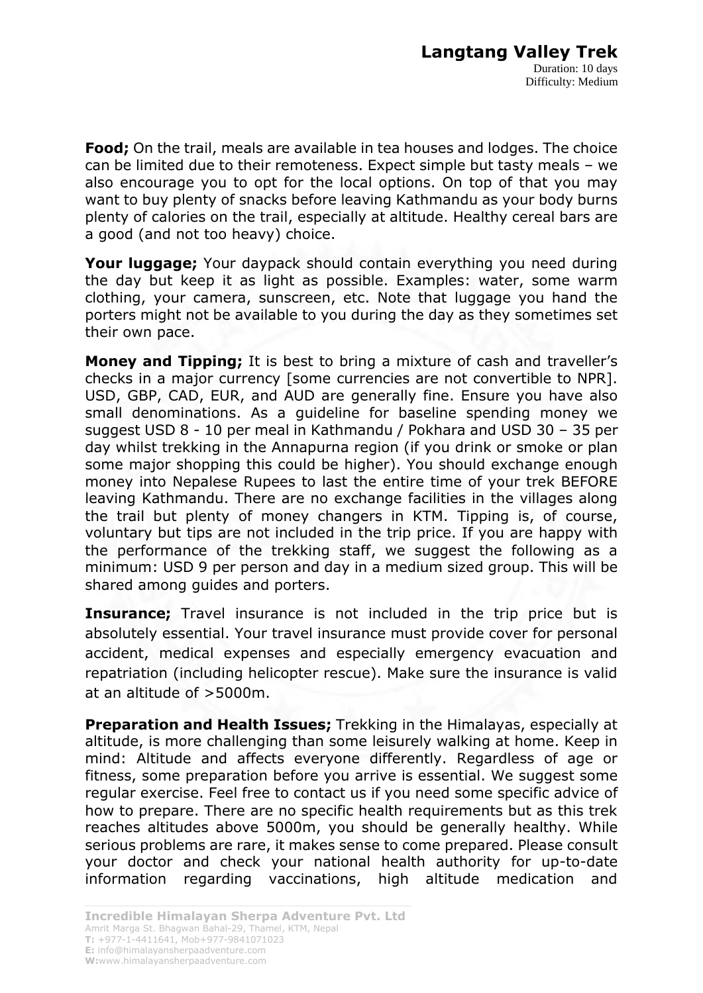**Food;** On the trail, meals are available in tea houses and lodges. The choice can be limited due to their remoteness. Expect simple but tasty meals – we also encourage you to opt for the local options. On top of that you may want to buy plenty of snacks before leaving Kathmandu as your body burns plenty of calories on the trail, especially at altitude. Healthy cereal bars are a good (and not too heavy) choice.

**Your luggage;** Your daypack should contain everything you need during the day but keep it as light as possible. Examples: water, some warm clothing, your camera, sunscreen, etc. Note that luggage you hand the porters might not be available to you during the day as they sometimes set their own pace.

**Money and Tipping;** It is best to bring a mixture of cash and traveller's checks in a major currency [some currencies are not convertible to NPR]. USD, GBP, CAD, EUR, and AUD are generally fine. Ensure you have also small denominations. As a guideline for baseline spending money we suggest USD 8 - 10 per meal in Kathmandu / Pokhara and USD 30 – 35 per day whilst trekking in the Annapurna region (if you drink or smoke or plan some major shopping this could be higher). You should exchange enough money into Nepalese Rupees to last the entire time of your trek BEFORE leaving Kathmandu. There are no exchange facilities in the villages along the trail but plenty of money changers in KTM. Tipping is, of course, voluntary but tips are not included in the trip price. If you are happy with the performance of the trekking staff, we suggest the following as a minimum: USD 9 per person and day in a medium sized group. This will be shared among guides and porters.

**Insurance;** Travel insurance is not included in the trip price but is absolutely essential. Your travel insurance must provide cover for personal accident, medical expenses and especially emergency evacuation and repatriation (including helicopter rescue). Make sure the insurance is valid at an altitude of >5000m.

**Preparation and Health Issues;** Trekking in the Himalayas, especially at altitude, is more challenging than some leisurely walking at home. Keep in mind: Altitude and affects everyone differently. Regardless of age or fitness, some preparation before you arrive is essential. We suggest some regular exercise. Feel free to contact us if you need some specific advice of how to prepare. There are no specific health requirements but as this trek reaches altitudes above 5000m, you should be generally healthy. While serious problems are rare, it makes sense to come prepared. Please consult your doctor and check your national health authority for up-to-date information regarding vaccinations, high altitude medication and